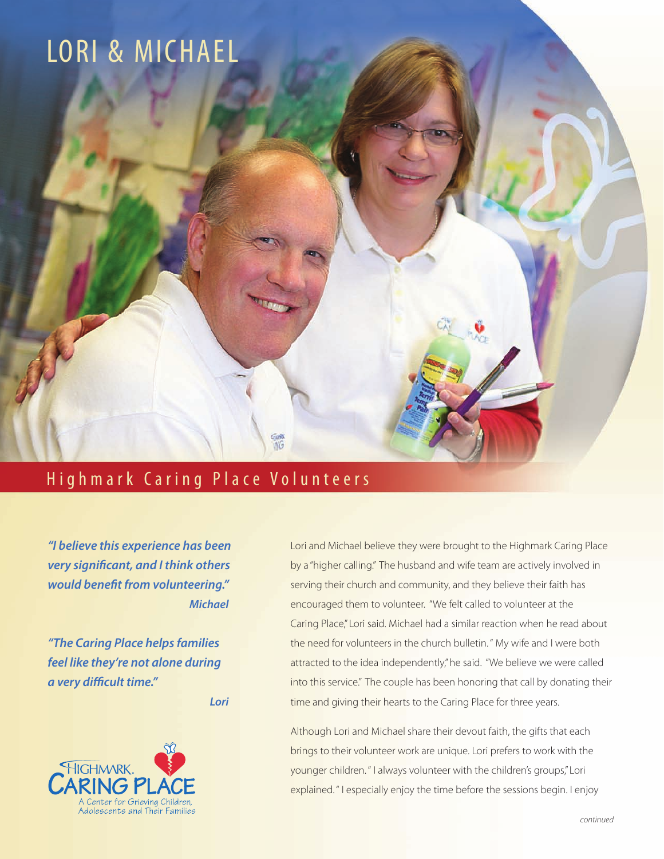## LORI & MICHAEL

## Highmark Caring Place Volunteers

**THIS** 

*"I believe this experience has been very significant, and I think others would benefit from volunteering." Michael*

*"The Caring Place helps families feel like they're not alone during a very difficult time."*

*Lori*



Lori and Michael believe they were brought to the Highmark Caring Place by a "higher calling." The husband and wife team are actively involved in serving their church and community, and they believe their faith has encouraged them to volunteer. "We felt called to volunteer at the Caring Place," Lori said. Michael had a similar reaction when he read about the need for volunteers in the church bulletin. " My wife and I were both attracted to the idea independently," he said. "We believe we were called into this service." The couple has been honoring that call by donating their time and giving their hearts to the Caring Place for three years.

Although Lori and Michael share their devout faith, the gifts that each brings to their volunteer work are unique. Lori prefers to work with the younger children. " I always volunteer with the children's groups," Lori explained. " I especially enjoy the time before the sessions begin. I enjoy